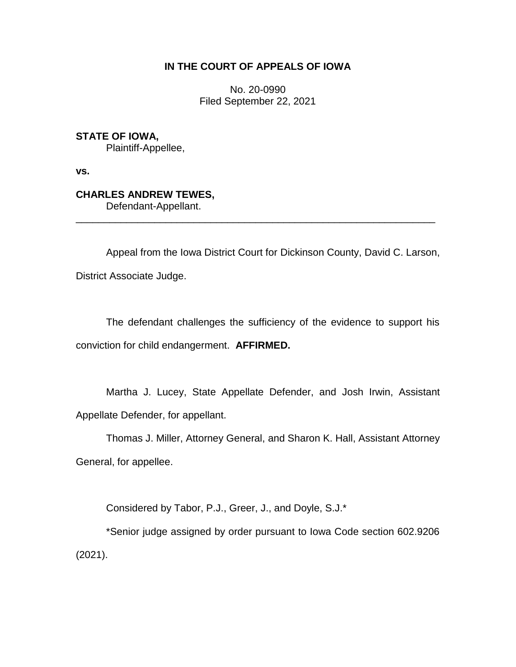### **IN THE COURT OF APPEALS OF IOWA**

No. 20-0990 Filed September 22, 2021

**STATE OF IOWA,** Plaintiff-Appellee,

**vs.**

# **CHARLES ANDREW TEWES,**

Defendant-Appellant.

Appeal from the Iowa District Court for Dickinson County, David C. Larson, District Associate Judge.

\_\_\_\_\_\_\_\_\_\_\_\_\_\_\_\_\_\_\_\_\_\_\_\_\_\_\_\_\_\_\_\_\_\_\_\_\_\_\_\_\_\_\_\_\_\_\_\_\_\_\_\_\_\_\_\_\_\_\_\_\_\_\_\_

The defendant challenges the sufficiency of the evidence to support his conviction for child endangerment. **AFFIRMED.** 

Martha J. Lucey, State Appellate Defender, and Josh Irwin, Assistant Appellate Defender, for appellant.

Thomas J. Miller, Attorney General, and Sharon K. Hall, Assistant Attorney General, for appellee.

Considered by Tabor, P.J., Greer, J., and Doyle, S.J.\*

\*Senior judge assigned by order pursuant to Iowa Code section 602.9206 (2021).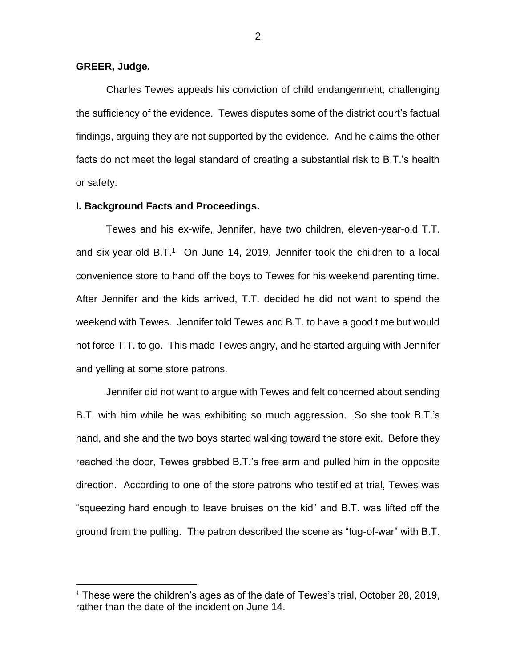#### **GREER, Judge.**

 $\overline{a}$ 

Charles Tewes appeals his conviction of child endangerment, challenging the sufficiency of the evidence. Tewes disputes some of the district court's factual findings, arguing they are not supported by the evidence. And he claims the other facts do not meet the legal standard of creating a substantial risk to B.T.'s health or safety.

#### **I. Background Facts and Proceedings.**

Tewes and his ex-wife, Jennifer, have two children, eleven-year-old T.T. and six-year-old B.T.<sup>1</sup> On June 14, 2019, Jennifer took the children to a local convenience store to hand off the boys to Tewes for his weekend parenting time. After Jennifer and the kids arrived, T.T. decided he did not want to spend the weekend with Tewes. Jennifer told Tewes and B.T. to have a good time but would not force T.T. to go. This made Tewes angry, and he started arguing with Jennifer and yelling at some store patrons.

Jennifer did not want to argue with Tewes and felt concerned about sending B.T. with him while he was exhibiting so much aggression. So she took B.T.'s hand, and she and the two boys started walking toward the store exit. Before they reached the door, Tewes grabbed B.T.'s free arm and pulled him in the opposite direction. According to one of the store patrons who testified at trial, Tewes was "squeezing hard enough to leave bruises on the kid" and B.T. was lifted off the ground from the pulling. The patron described the scene as "tug-of-war" with B.T.

<sup>&</sup>lt;sup>1</sup> These were the children's ages as of the date of Tewes's trial, October 28, 2019, rather than the date of the incident on June 14.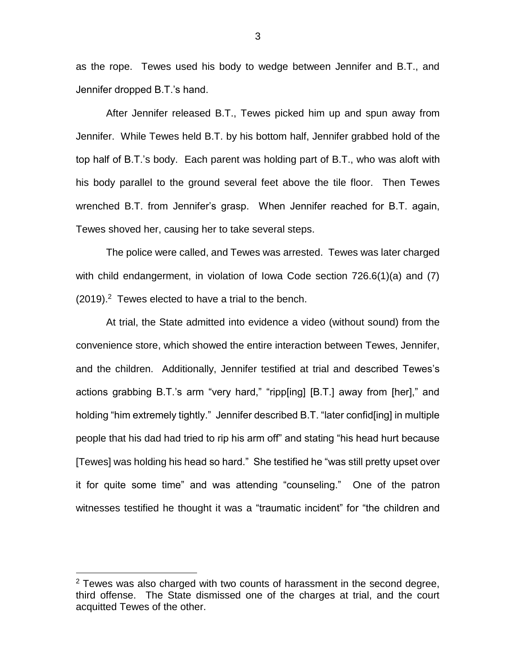as the rope. Tewes used his body to wedge between Jennifer and B.T., and Jennifer dropped B.T.'s hand.

After Jennifer released B.T., Tewes picked him up and spun away from Jennifer. While Tewes held B.T. by his bottom half, Jennifer grabbed hold of the top half of B.T.'s body. Each parent was holding part of B.T., who was aloft with his body parallel to the ground several feet above the tile floor. Then Tewes wrenched B.T. from Jennifer's grasp. When Jennifer reached for B.T. again, Tewes shoved her, causing her to take several steps.

The police were called, and Tewes was arrested. Tewes was later charged with child endangerment, in violation of Iowa Code section 726.6(1)(a) and (7)  $(2019).<sup>2</sup>$  Tewes elected to have a trial to the bench.

At trial, the State admitted into evidence a video (without sound) from the convenience store, which showed the entire interaction between Tewes, Jennifer, and the children. Additionally, Jennifer testified at trial and described Tewes's actions grabbing B.T.'s arm "very hard," "ripp[ing] [B.T.] away from [her]," and holding "him extremely tightly." Jennifer described B.T. "later confid[ing] in multiple people that his dad had tried to rip his arm off" and stating "his head hurt because [Tewes] was holding his head so hard." She testified he "was still pretty upset over it for quite some time" and was attending "counseling." One of the patron witnesses testified he thought it was a "traumatic incident" for "the children and

 $\overline{a}$ 

 $2$  Tewes was also charged with two counts of harassment in the second degree, third offense. The State dismissed one of the charges at trial, and the court acquitted Tewes of the other.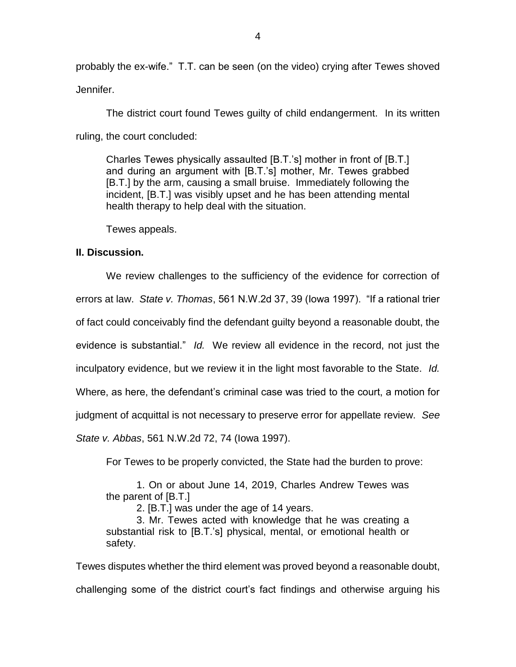probably the ex-wife." T.T. can be seen (on the video) crying after Tewes shoved Jennifer.

The district court found Tewes guilty of child endangerment. In its written ruling, the court concluded:

Charles Tewes physically assaulted [B.T.'s] mother in front of [B.T.] and during an argument with [B.T.'s] mother, Mr. Tewes grabbed [B.T.] by the arm, causing a small bruise. Immediately following the incident, [B.T.] was visibly upset and he has been attending mental health therapy to help deal with the situation.

Tewes appeals.

## **II. Discussion.**

We review challenges to the sufficiency of the evidence for correction of errors at law. *State v. Thomas*, 561 N.W.2d 37, 39 (Iowa 1997). "If a rational trier of fact could conceivably find the defendant guilty beyond a reasonable doubt, the evidence is substantial." *Id.* We review all evidence in the record, not just the inculpatory evidence, but we review it in the light most favorable to the State. *Id.*  Where, as here, the defendant's criminal case was tried to the court, a motion for judgment of acquittal is not necessary to preserve error for appellate review. *See State v. Abbas*, 561 N.W.2d 72, 74 (Iowa 1997).

For Tewes to be properly convicted, the State had the burden to prove:

1. On or about June 14, 2019, Charles Andrew Tewes was the parent of [B.T.]

2. [B.T.] was under the age of 14 years.

3. Mr. Tewes acted with knowledge that he was creating a substantial risk to [B.T.'s] physical, mental, or emotional health or safety.

Tewes disputes whether the third element was proved beyond a reasonable doubt, challenging some of the district court's fact findings and otherwise arguing his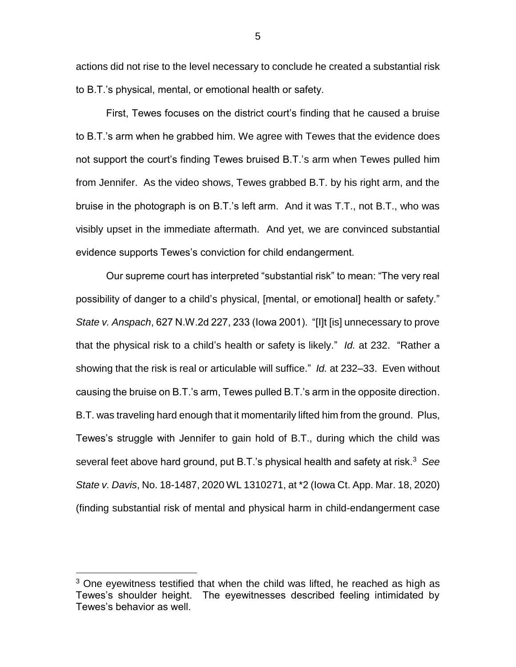actions did not rise to the level necessary to conclude he created a substantial risk to B.T.'s physical, mental, or emotional health or safety.

First, Tewes focuses on the district court's finding that he caused a bruise to B.T.'s arm when he grabbed him. We agree with Tewes that the evidence does not support the court's finding Tewes bruised B.T.'s arm when Tewes pulled him from Jennifer. As the video shows, Tewes grabbed B.T. by his right arm, and the bruise in the photograph is on B.T.'s left arm. And it was T.T., not B.T., who was visibly upset in the immediate aftermath. And yet, we are convinced substantial evidence supports Tewes's conviction for child endangerment.

Our supreme court has interpreted "substantial risk" to mean: "The very real possibility of danger to a child's physical, [mental, or emotional] health or safety." *State v. Anspach*, 627 N.W.2d 227, 233 (Iowa 2001). "[I]t [is] unnecessary to prove that the physical risk to a child's health or safety is likely." *Id.* at 232. "Rather a showing that the risk is real or articulable will suffice." *Id.* at 232–33. Even without causing the bruise on B.T.'s arm, Tewes pulled B.T.'s arm in the opposite direction. B.T. was traveling hard enough that it momentarily lifted him from the ground. Plus, Tewes's struggle with Jennifer to gain hold of B.T., during which the child was several feet above hard ground, put B.T.'s physical health and safety at risk.<sup>3</sup> *See State v. Davis*, No. 18-1487, 2020 WL 1310271, at \*2 (Iowa Ct. App. Mar. 18, 2020) (finding substantial risk of mental and physical harm in child-endangerment case

 $\overline{a}$ 

 $3$  One eyewitness testified that when the child was lifted, he reached as high as Tewes's shoulder height. The eyewitnesses described feeling intimidated by Tewes's behavior as well.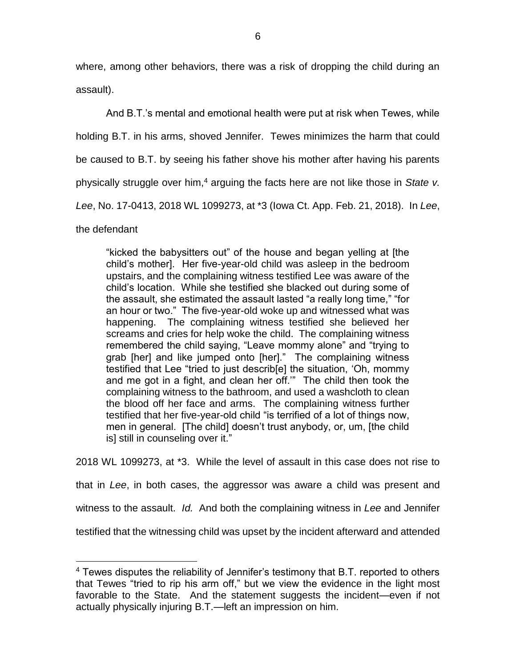where, among other behaviors, there was a risk of dropping the child during an assault).

And B.T.'s mental and emotional health were put at risk when Tewes, while holding B.T. in his arms, shoved Jennifer. Tewes minimizes the harm that could be caused to B.T. by seeing his father shove his mother after having his parents physically struggle over him,<sup>4</sup> arguing the facts here are not like those in *State v. Lee*, No. 17-0413, 2018 WL 1099273, at \*3 (Iowa Ct. App. Feb. 21, 2018). In *Lee*, the defendant

"kicked the babysitters out" of the house and began yelling at [the child's mother]. Her five-year-old child was asleep in the bedroom upstairs, and the complaining witness testified Lee was aware of the child's location. While she testified she blacked out during some of the assault, she estimated the assault lasted "a really long time," "for an hour or two." The five-year-old woke up and witnessed what was happening. The complaining witness testified she believed her screams and cries for help woke the child. The complaining witness remembered the child saying, "Leave mommy alone" and "trying to grab [her] and like jumped onto [her]." The complaining witness testified that Lee "tried to just describ[e] the situation, 'Oh, mommy and me got in a fight, and clean her off.'" The child then took the complaining witness to the bathroom, and used a washcloth to clean the blood off her face and arms. The complaining witness further testified that her five-year-old child "is terrified of a lot of things now, men in general. [The child] doesn't trust anybody, or, um, [the child is] still in counseling over it."

2018 WL 1099273, at \*3. While the level of assault in this case does not rise to

that in *Lee*, in both cases, the aggressor was aware a child was present and

witness to the assault. *Id.* And both the complaining witness in *Lee* and Jennifer

testified that the witnessing child was upset by the incident afterward and attended

 $\overline{a}$ 

 $4$  Tewes disputes the reliability of Jennifer's testimony that B.T. reported to others that Tewes "tried to rip his arm off," but we view the evidence in the light most favorable to the State. And the statement suggests the incident—even if not actually physically injuring B.T.—left an impression on him.